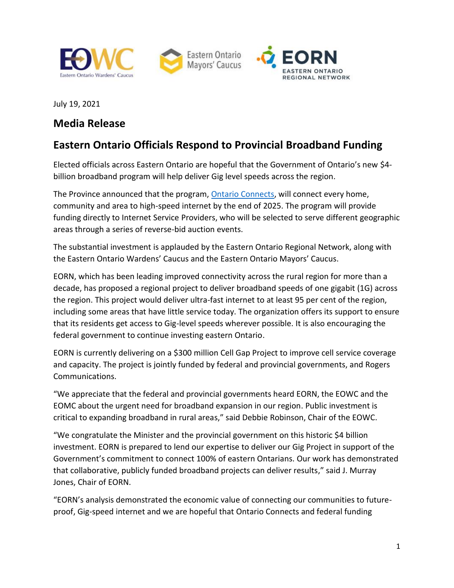





July 19, 2021

## **Media Release**

# **Eastern Ontario Officials Respond to Provincial Broadband Funding**

Elected officials across Eastern Ontario are hopeful that the Government of Ontario's new \$4 billion broadband program will help deliver Gig level speeds across the region.

The Province announced that the program[, Ontario Connects,](https://news.ontario.ca/en/release/1000538/historic-investment-plan-ensures-access-to-high-speed-internet-for-all) will connect every home, community and area to high-speed internet by the end of 2025. The program will provide funding directly to Internet Service Providers, who will be selected to serve different geographic areas through a series of reverse-bid auction events.

The substantial investment is applauded by the Eastern Ontario Regional Network, along with the Eastern Ontario Wardens' Caucus and the Eastern Ontario Mayors' Caucus.

EORN, which has been leading improved connectivity across the rural region for more than a decade, has proposed a regional project to deliver broadband speeds of one gigabit (1G) across the region. This project would deliver ultra-fast internet to at least 95 per cent of the region, including some areas that have little service today. The organization offers its support to ensure that its residents get access to Gig-level speeds wherever possible. It is also encouraging the federal government to continue investing eastern Ontario.

EORN is currently delivering on a \$300 million Cell Gap Project to improve cell service coverage and capacity. The project is jointly funded by federal and provincial governments, and Rogers Communications.

"We appreciate that the federal and provincial governments heard EORN, the EOWC and the EOMC about the urgent need for broadband expansion in our region. Public investment is critical to expanding broadband in rural areas," said Debbie Robinson, Chair of the EOWC.

"We congratulate the Minister and the provincial government on this historic \$4 billion investment. EORN is prepared to lend our expertise to deliver our Gig Project in support of the Government's commitment to connect 100% of eastern Ontarians. Our work has demonstrated that collaborative, publicly funded broadband projects can deliver results," said J. Murray Jones, Chair of EORN.

"EORN's analysis demonstrated the economic value of connecting our communities to futureproof, Gig-speed internet and we are hopeful that Ontario Connects and federal funding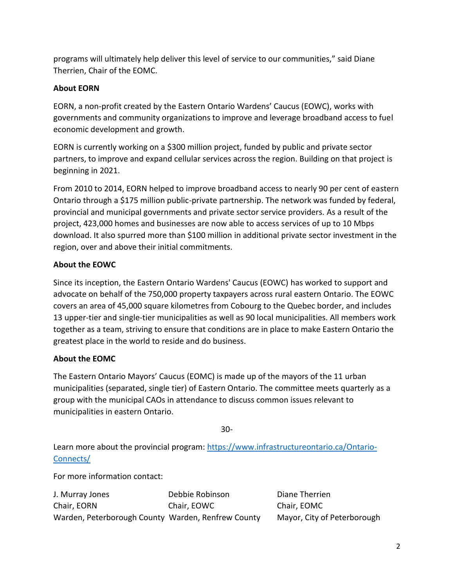programs will ultimately help deliver this level of service to our communities," said Diane Therrien, Chair of the EOMC.

### **About EORN**

EORN, a non-profit created by the Eastern Ontario Wardens' Caucus (EOWC), works with governments and community organizations to improve and leverage broadband access to fuel economic development and growth.

EORN is currently working on a \$300 million project, funded by public and private sector partners, to improve and expand cellular services across the region. Building on that project is beginning in 2021.

From 2010 to 2014, EORN helped to improve broadband access to nearly 90 per cent of eastern Ontario through a \$175 million public-private partnership. The network was funded by federal, provincial and municipal governments and private sector service providers. As a result of the project, 423,000 homes and businesses are now able to access services of up to 10 Mbps download. It also spurred more than \$100 million in additional private sector investment in the region, over and above their initial commitments.

#### **About the EOWC**

Since its inception, the Eastern Ontario Wardens' Caucus (EOWC) has worked to support and advocate on behalf of the 750,000 property taxpayers across rural eastern Ontario. The EOWC covers an area of 45,000 square kilometres from Cobourg to the Quebec border, and includes 13 upper-tier and single-tier municipalities as well as 90 local municipalities. All members work together as a team, striving to ensure that conditions are in place to make Eastern Ontario the greatest place in the world to reside and do business.

### **About the EOMC**

The Eastern Ontario Mayors' Caucus (EOMC) is made up of the mayors of the 11 urban municipalities (separated, single tier) of Eastern Ontario. The committee meets quarterly as a group with the municipal CAOs in attendance to discuss common issues relevant to municipalities in eastern Ontario.

30-

Learn more about the provincial program: [https://www.infrastructureontario.ca/Ontario-](https://www.infrastructureontario.ca/Ontario-Connects/)[Connects/](https://www.infrastructureontario.ca/Ontario-Connects/)

For more information contact:

| J. Murray Jones                                    | Debbie Robinson | Diane Therrien              |
|----------------------------------------------------|-----------------|-----------------------------|
| Chair, EORN                                        | Chair, EOWC     | Chair, EOMC                 |
| Warden, Peterborough County Warden, Renfrew County |                 | Mayor, City of Peterborough |